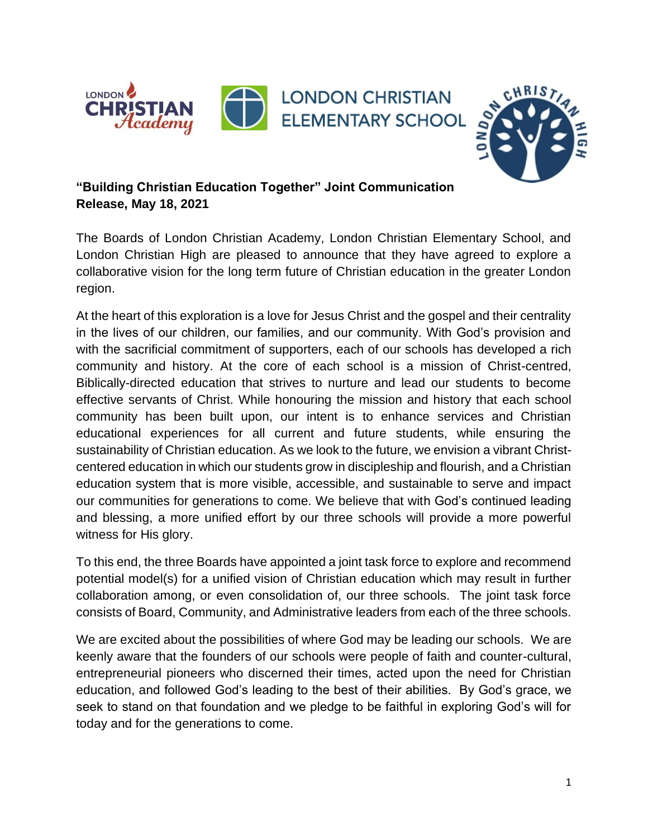



## **"Building Christian Education Together" Joint Communication Release, May 18, 2021**

The Boards of London Christian Academy, London Christian Elementary School, and London Christian High are pleased to announce that they have agreed to explore a collaborative vision for the long term future of Christian education in the greater London region.

At the heart of this exploration is a love for Jesus Christ and the gospel and their centrality in the lives of our children, our families, and our community. With God's provision and with the sacrificial commitment of supporters, each of our schools has developed a rich community and history. At the core of each school is a mission of Christ-centred, Biblically-directed education that strives to nurture and lead our students to become effective servants of Christ. While honouring the mission and history that each school community has been built upon, our intent is to enhance services and Christian educational experiences for all current and future students, while ensuring the sustainability of Christian education. As we look to the future, we envision a vibrant Christcentered education in which our students grow in discipleship and flourish, and a Christian education system that is more visible, accessible, and sustainable to serve and impact our communities for generations to come. We believe that with God's continued leading and blessing, a more unified effort by our three schools will provide a more powerful witness for His glory.

To this end, the three Boards have appointed a joint task force to explore and recommend potential model(s) for a unified vision of Christian education which may result in further collaboration among, or even consolidation of, our three schools. The joint task force consists of Board, Community, and Administrative leaders from each of the three schools.

We are excited about the possibilities of where God may be leading our schools. We are keenly aware that the founders of our schools were people of faith and counter-cultural, entrepreneurial pioneers who discerned their times, acted upon the need for Christian education, and followed God's leading to the best of their abilities. By God's grace, we seek to stand on that foundation and we pledge to be faithful in exploring God's will for today and for the generations to come.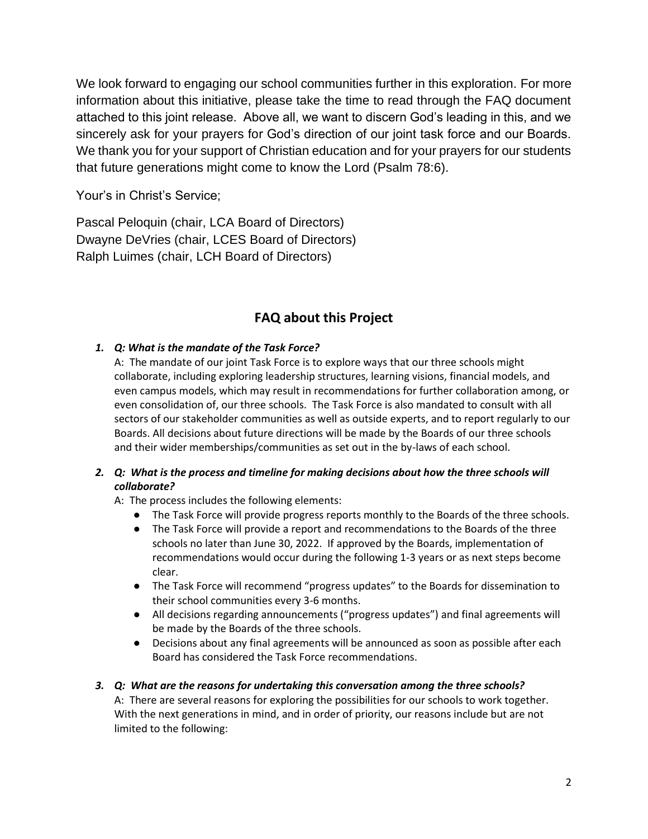We look forward to engaging our school communities further in this exploration. For more information about this initiative, please take the time to read through the FAQ document attached to this joint release. Above all, we want to discern God's leading in this, and we sincerely ask for your prayers for God's direction of our joint task force and our Boards. We thank you for your support of Christian education and for your prayers for our students that future generations might come to know the Lord (Psalm 78:6).

Your's in Christ's Service;

Pascal Peloquin (chair, LCA Board of Directors) Dwayne DeVries (chair, LCES Board of Directors) Ralph Luimes (chair, LCH Board of Directors)

# **FAQ about this Project**

## *1. Q: What is the mandate of the Task Force?*

A: The mandate of our joint Task Force is to explore ways that our three schools might collaborate, including exploring leadership structures, learning visions, financial models, and even campus models, which may result in recommendations for further collaboration among, or even consolidation of, our three schools. The Task Force is also mandated to consult with all sectors of our stakeholder communities as well as outside experts, and to report regularly to our Boards. All decisions about future directions will be made by the Boards of our three schools and their wider memberships/communities as set out in the by-laws of each school.

### *2. Q: What is the process and timeline for making decisions about how the three schools will collaborate?*

A: The process includes the following elements:

- The Task Force will provide progress reports monthly to the Boards of the three schools.
- The Task Force will provide a report and recommendations to the Boards of the three schools no later than June 30, 2022. If approved by the Boards, implementation of recommendations would occur during the following 1-3 years or as next steps become clear.
- The Task Force will recommend "progress updates" to the Boards for dissemination to their school communities every 3-6 months.
- All decisions regarding announcements ("progress updates") and final agreements will be made by the Boards of the three schools.
- Decisions about any final agreements will be announced as soon as possible after each Board has considered the Task Force recommendations.

### *3. Q: What are the reasons for undertaking this conversation among the three schools?*

A: There are several reasons for exploring the possibilities for our schools to work together. With the next generations in mind, and in order of priority, our reasons include but are not limited to the following: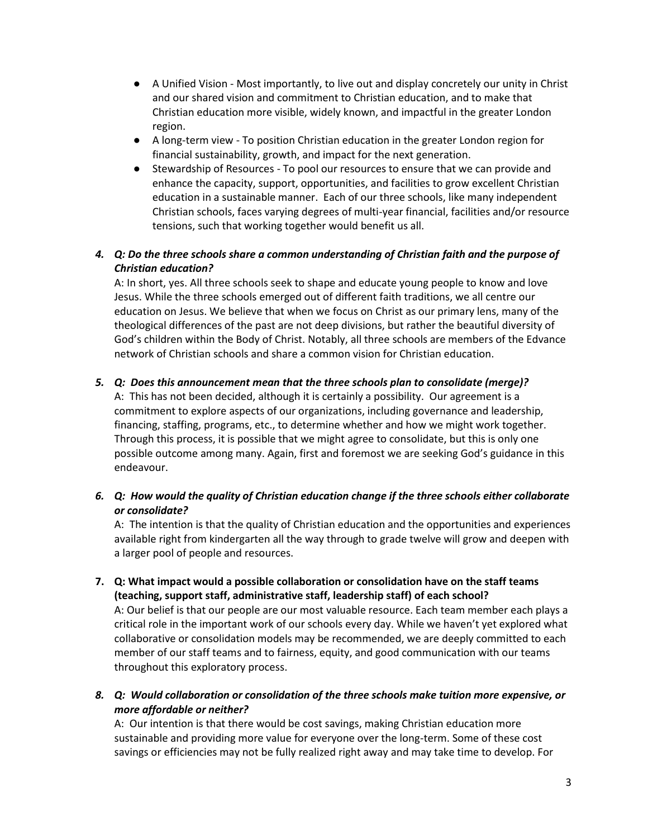- A Unified Vision Most importantly, to live out and display concretely our unity in Christ and our shared vision and commitment to Christian education, and to make that Christian education more visible, widely known, and impactful in the greater London region.
- A long-term view To position Christian education in the greater London region for financial sustainability, growth, and impact for the next generation.
- Stewardship of Resources To pool our resources to ensure that we can provide and enhance the capacity, support, opportunities, and facilities to grow excellent Christian education in a sustainable manner. Each of our three schools, like many independent Christian schools, faces varying degrees of multi-year financial, facilities and/or resource tensions, such that working together would benefit us all.

## *4. Q: Do the three schools share a common understanding of Christian faith and the purpose of Christian education?*

A: In short, yes. All three schools seek to shape and educate young people to know and love Jesus. While the three schools emerged out of different faith traditions, we all centre our education on Jesus. We believe that when we focus on Christ as our primary lens, many of the theological differences of the past are not deep divisions, but rather the beautiful diversity of God's children within the Body of Christ. Notably, all three schools are members of the Edvance network of Christian schools and share a common vision for Christian education.

### *5. Q: Does this announcement mean that the three schools plan to consolidate (merge)?*

A: This has not been decided, although it is certainly a possibility. Our agreement is a commitment to explore aspects of our organizations, including governance and leadership, financing, staffing, programs, etc., to determine whether and how we might work together. Through this process, it is possible that we might agree to consolidate, but this is only one possible outcome among many. Again, first and foremost we are seeking God's guidance in this endeavour.

## *6. Q: How would the quality of Christian education change if the three schools either collaborate or consolidate?*

A: The intention is that the quality of Christian education and the opportunities and experiences available right from kindergarten all the way through to grade twelve will grow and deepen with a larger pool of people and resources.

**7. Q: What impact would a possible collaboration or consolidation have on the staff teams (teaching, support staff, administrative staff, leadership staff) of each school?**

A: Our belief is that our people are our most valuable resource. Each team member each plays a critical role in the important work of our schools every day. While we haven't yet explored what collaborative or consolidation models may be recommended, we are deeply committed to each member of our staff teams and to fairness, equity, and good communication with our teams throughout this exploratory process.

*8. Q: Would collaboration or consolidation of the three schools make tuition more expensive, or more affordable or neither?*

A: Our intention is that there would be cost savings, making Christian education more sustainable and providing more value for everyone over the long-term. Some of these cost savings or efficiencies may not be fully realized right away and may take time to develop. For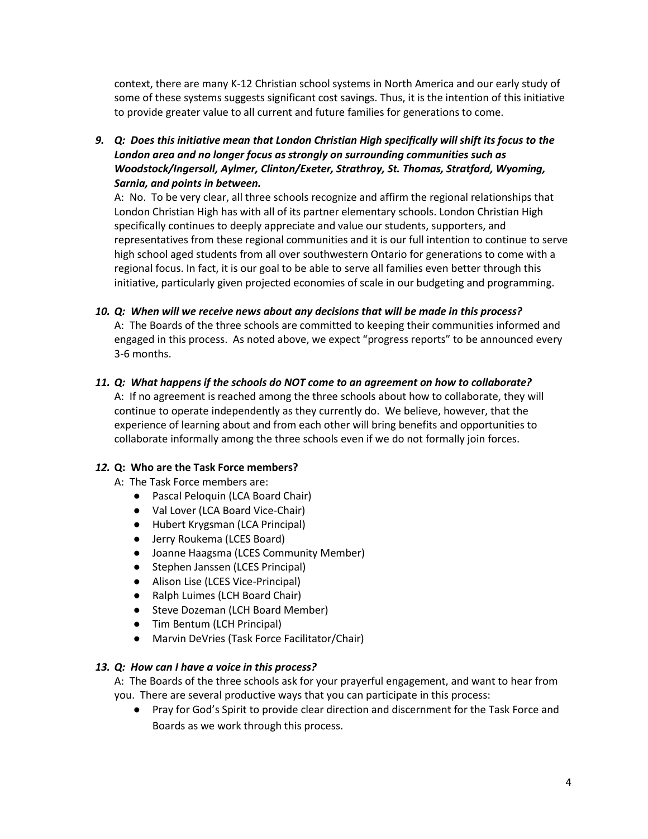context, there are many K-12 Christian school systems in North America and our early study of some of these systems suggests significant cost savings. Thus, it is the intention of this initiative to provide greater value to all current and future families for generations to come.

*9. Q: Does this initiative mean that London Christian High specifically will shift its focus to the London area and no longer focus as strongly on surrounding communities such as Woodstock/Ingersoll, Aylmer, Clinton/Exeter, Strathroy, St. Thomas, Stratford, Wyoming, Sarnia, and points in between.*

A: No. To be very clear, all three schools recognize and affirm the regional relationships that London Christian High has with all of its partner elementary schools. London Christian High specifically continues to deeply appreciate and value our students, supporters, and representatives from these regional communities and it is our full intention to continue to serve high school aged students from all over southwestern Ontario for generations to come with a regional focus. In fact, it is our goal to be able to serve all families even better through this initiative, particularly given projected economies of scale in our budgeting and programming.

*10. Q: When will we receive news about any decisions that will be made in this process?* A: The Boards of the three schools are committed to keeping their communities informed and engaged in this process. As noted above, we expect "progress reports" to be announced every 3-6 months.

#### *11. Q: What happens if the schools do NOT come to an agreement on how to collaborate?*

A: If no agreement is reached among the three schools about how to collaborate, they will continue to operate independently as they currently do. We believe, however, that the experience of learning about and from each other will bring benefits and opportunities to collaborate informally among the three schools even if we do not formally join forces.

#### *12.* **Q: Who are the Task Force members?**

- A: The Task Force members are:
	- Pascal Peloquin (LCA Board Chair)
	- Val Lover (LCA Board Vice-Chair)
	- Hubert Krygsman (LCA Principal)
	- Jerry Roukema (LCES Board)
	- Joanne Haagsma (LCES Community Member)
	- Stephen Janssen (LCES Principal)
	- Alison Lise (LCES Vice-Principal)
	- Ralph Luimes (LCH Board Chair)
	- Steve Dozeman (LCH Board Member)
	- Tim Bentum (LCH Principal)
	- Marvin DeVries (Task Force Facilitator/Chair)

#### *13. Q: How can I have a voice in this process?*

A: The Boards of the three schools ask for your prayerful engagement, and want to hear from you. There are several productive ways that you can participate in this process:

● Pray for God's Spirit to provide clear direction and discernment for the Task Force and Boards as we work through this process.